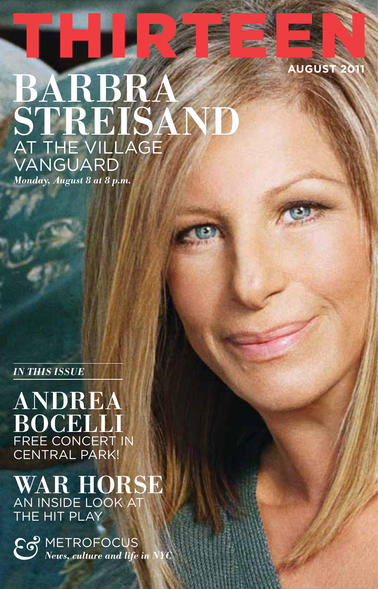# BARBRA **STREISAND** At The Village Vanguard

**august 2011**

*Monday, August 8 at 8 p.m.*

*in this issue*

ANDREA BOCELLI FREE CONCERT IN Central Park!

WAR HORSE An inside look at THE HIT PLAY

 $\sum_{\text{News, culture and life in}}$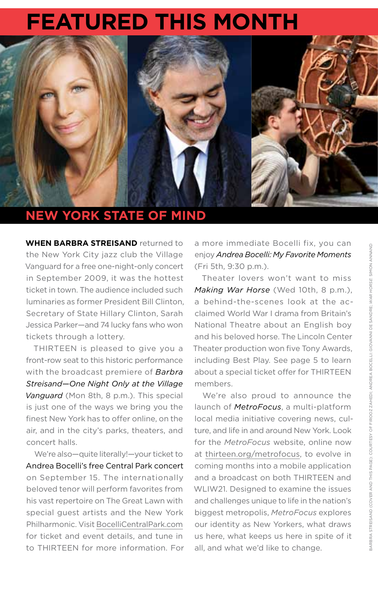# **Featured this month**



# **New York State of Mind**

**W hen Barbra Streisand** returned to the New York City jazz club the Village Vanguard for a free one-night-only concert in September 2009, it was the hottest ticket in town. The audience included such luminaries as former President Bill Clinton, Secretary of State Hillary Clinton, Sarah Jessica Parker—and 74 lucky fans who won tickets through a lottery.

THIRTEEN is pleased to give you a front-row seat to this historic performance with the broadcast premiere of *Barbra Streisand—One Night Only at the Village Vanguard* (Mon 8th, 8 p.m.). This special is just one of the ways we bring you the finest New York has to offer online, on the air, and in the city's parks, theaters, and concert halls.

We're also—quite literally!—your ticket to Andrea Bocelli's free Central Park concert on September 15. The internationally beloved tenor will perform favorites from his vast repertoire on The Great Lawn with special guest artists and the New York Philharmonic. Visit [BocelliCentralPark.com](http://www.bocellicentralpark.com/) for ticket and event details, and tune in to THIRTEEN for more information. For a more immediate Bocelli fix, you can enjoy *Andrea Bocelli: My Favorite Moments* (Fri 5th, 9:30 p.m.).

Theater lovers won't want to miss *Making War Horse* (Wed 10th, 8 p.m.), a behind-the-scenes look at the acclaimed World War I drama from Britain's National Theatre about an English boy and his beloved horse. The Lincoln Center Theater production won five Tony Awards, including Best Play. See page 5 to learn about a special ticket offer for THIRTEEN members.

We're also proud to announce the launch of *MetroFocus*, a multi-platform local media initiative covering news, culture, and life in and around New York. Look for the *MetroFocus* website, online now at [thirteen.org/metrofocus](http://www.thirteen.org/metrofocus/), to evolve in coming months into a mobile application and a broadcast on both THIRTEEN and WLIW21. Designed to examine the issues and challenges unique to life in the nation's biggest metropolis, *MetroFocus* explores our identity as New Yorkers, what draws us here, what keeps us here in spite of it all, and what we'd like to change.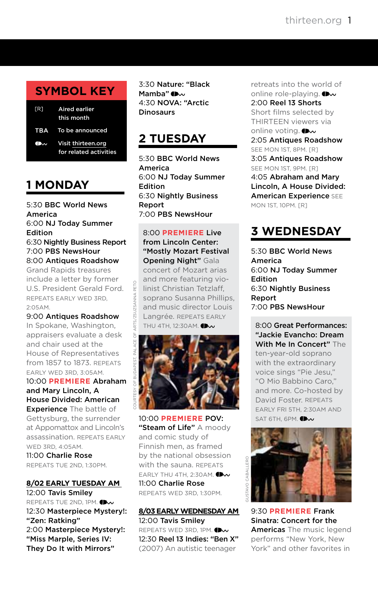# **symbol key**

| [R] Aired earlier<br>this month                        |
|--------------------------------------------------------|
| TBA To be announced                                    |
| <b>OW Visit thirteen.org</b><br>for related activities |

# **1 MONDAY**

5:30 BBC World News America 6:00 NJ Today Summer Edition 6:30 Nightly Business Report 7:00 PBS NewsHour

8:00 Antiques Roadshow Grand Rapids treasures include a letter by former U.S. President Gerald Ford. Repeats early Wed 3rd, 2:05am.

9:00 Antiques Roadshow In Spokane, Washington, appraisers evaluate a desk and chair used at the House of Representatives from 1857 to 1873. Repeats early Wed 3rd, 3:05am.

10:00 **PREMIERE** Abraham and Mary Lincoln, A House Divided: American **Experience** The battle of Gettysburg, the surrender at Appomattox and Lincoln's assassination. Repeats early Wed 3rd, 4:05am. 11:00 Charlie Rose Repeats Tue 2nd, 1:30pm.

#### **8/02 EARLY TUESDAY AM** 12:00 Tavis Smiley REPEATS TUE 2ND, 1PM. 12:30 Masterpiece Mystery!: "Zen: Ratking" 2:00 Masterpiece Mystery!: "Miss Marple, Series IV: They Do It with Mirrors"

3:30 Nature: "Black Mamba["](http://www.pbs.org/wnet/nature/ ) (Dw 4:30 NOVA: "Arctic **Dinosaurs** 

# **2 TUESDAY**

5:30 BBC World News America 6:00 NJ Today Summer Edition 6:30 Nightly Business Report 7:00 PBS NewsHour

#### 8:00 **PREMIERE** Live

pEIIO

RTS/ZSUZSANNA

from Lincoln Center: "Mostly Mozart Festival Opening Night" Gala

concert of Mozart arias and more featuring violinist Christian Tetzlaff, soprano Susanna Phillips, and music director Louis Langrée. Repeats early THU4TH, 12:30AM.



10:00 **PREMIERE** POV: "Steam of Life" A moody and comic study of Finnish men, as framed by the national obsession with the sauna. REPEATS EARLY THU 4TH, 2:30AM[.](http://www.pbs.org/pov/)  $\bigoplus_{w}$ 11:00 Charlie Rose Repeats Wed 3rd, 1:30pm.

#### **8/03 EARLY WEDNESDAY AM** 12:00 Tavis Smiley REPEATSWED 3RD, 1PM. **ID** 12:30 Reel 13 Indies: "Ben X" (2007) An autistic teenager

retreats into the world of online role-playing. (I w 2:00 Reel 13 Shorts Short films selected by THIRTEEN viewers via online voting[.](http://www.thirteen.org/sites/reel13) 2:05 Antiques Roadshow SEE MON 1ST, 8PM, FR1 3:05 Antiques Roadshow SEE MON 1ST, 9PM. [R] 4:05 Abraham and Mary Lincoln, A House Divided: **American Experience SEE** Mon 1st, 10pm. [R]

# **3 WEDNESDAY**

5:30 BBC World News America 6:00 NJ Today Summer Edition 6:30 Nightly Business Report 7:00 PBS NewsHour

8:00 Great Performances: "Jackie Evancho: Dream With Me In Concert" The ten-year-old soprano with the extraordinary voice sings "Pie Jesu," "O Mio Babbino Caro," and more. Co-hosted by David Foster. Repeats early Fri 5th, 2:30am and SAT 6TH, 6PM[.](http://www.pbs.org/wnet/gperf/ )  $\bigoplus_{w}$ 



9:30 **PREMIERE** Frank Sinatra: Concert for the Americas The music legend performs "New York, New York" and other favorites in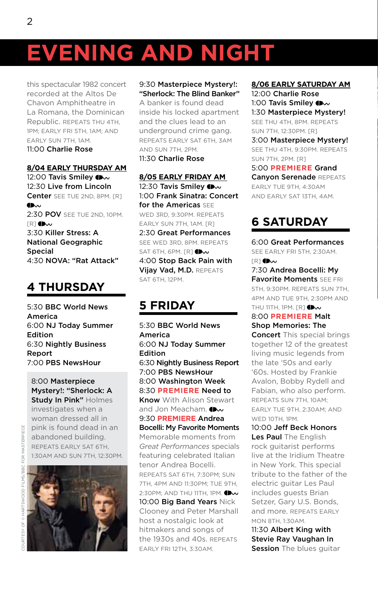this spectacular 1982 concert recorded at the Altos De Chavon Amphitheatre in La Romana, the Dominican Republic. Repeats Thu 4th, 1pm; early Fri 5th, 1am; and early Sun 7th, 1am. 11:00 Charlie Rose

#### **8/04 EARLY THURSDAY AM**

12:00Tavis Smiley (Dw 12:30 Live from Lincoln Center SEE TUE 2ND, 8PM. [R] **Ch.,** 2:30 POV SEE TUE 2ND, 10PM.  $IR$  $1$  (i) $\sim$ 3:30 Killer Stress: A National Geographic Special 4:30 NOVA: "Rat Attack"

# **4 THURSDAY**

5:30 BBC World News America 6:00 NJ Today Summer Edition 6:30 Nightly Business Report 7:00 PBS NewsHour

8:00 Masterpiece Mystery!: "Sherlock: A Study In Pink" Holmes

investigates when a woman dressed all in pink is found dead in an abandoned building. Repeats early Sat 6th, 1:30am and Sun 7th, 12:30pm.



#### 9:30 Masterpiece Mystery!: "Sherlock: The Blind Banker"

A banker is found dead inside his locked apartment and the clues lead to an underground crime gang. Repeats early Sat 6th, 3am and Sun 7th, 2pm.

11:30 Charlie Rose

**8/05 EARLY FRIDAY AM** 12:30Tavis Smiley (Dw 1:00 Frank Sinatra: Concert for the Americas SEE WED 3RD, 9:30PM, REPEATS early Sun 7th, 1am. [R] 2:30 Great Performances See Wed 3rd, 8pm. Repeats SAT6TH, 6PM.  $[R]$   $\mathbb{D}\mathbf{w}$ 4:00 Stop Back Pain with Vijay Vad, M.D. REPEATS SAT 6TH, 12PM.

# **5 FRIDAY**

5:30 BBC World News America 6:00 NJ Today Summer Edition 6:30 Nightly Business Report 7:00 PBS NewsHour 8:00 Washington Week 8:30 **PREMIERE** Need to Know With Alison Stewart and Jon Meacham[.](http://www.pbs.org/wnet/need-to-know/ )  $\bullet\!\!\!\!\!\bullet\!\!\!\!\bullet\!\!\!\!\bullet\!\!\!\!\bullet\!\!\!\!\bullet\!\!\!\!\bullet\!\!\!\!\bullet\!\!\!\!\bullet\!\!\!\!\bullet\!\!\!\!\bullet\!\!\!\!\bullet\!\!\!\!\bullet\!\!\!\!\bullet\!\!\!\!\bullet\!\!\!\!\bullet\!\!\!\!\bullet\!\!\!\!\bullet\!\!\!\!\bullet\!\!\!\!\bullet\!\!\!\!\bullet\!\!\!\!\bullet\!\!\!\!\bullet\!\!\!\!\bullet\!\!\!\!\bullet\!\!\!\!\bullet\!\!\!\!\bullet\!\!\!\!\bullet\!\!\!\!\bullet\!\!\!\!\bullet\!\!\!\!\bullet\!\!\!\!\bullet\!\!\!\!\bullet\!\!\!\!\bullet\!\!\$ 9:30 **PREMIERE** Andrea Bocelli: My Favorite Moments Memorable moments from *Great Performances* specials featuring celebrated Italian tenor Andrea Bocelli. Repeats Sat 6th, 7:30pm; Sun 7th, 4pm and 11:30pm; Tue 9th, 2:30PM:AND THU 11TH, 1PM. **(Dv** 10:00 Big Band Years Nick Clooney and Peter Marshall host a nostalgic look at hitmakers and songs of the 1930s and 40s. Repeats early Fri 12th, 3:30am.

#### **8/06 EARLY SATURDAY AM**

12:00 Charlie Rose 1:00 Tavis Smile[y](http://www.pbs.org/wnet/tavissmiley/ ) (Dw 1:30 Masterpiece Mystery! See Thu 4th, 8pm. Repeats Sun 7th, 12:30pm. [R]

3:00 Masterpiece Mystery! See Thu 4th, 9:30pm. Repeats Sun 7th, 2pm. [R]

5:00 **PREMIERE** Grand Canvon Serenade REPEATS early Tue 9th, 4:30am and early Sat 13th, 4am.

# **6 SATURDAY**

6:00 Great Performances See early Fri 5th, 2:30am.  $\mathbb{R}$ [\]](http://www.pbs.org/wnet/gperf/ ) (Dw

7:30 Andrea Bocelli: My **Favorite Moments SEE FRI** 5th, 9:30pm. Repeats Sun 7th, 4pm and Tue 9th, 2:30pm and THU 11TH, 1PM.  $[{\mathbb R}]$   $\bullet\!\!\!\!\!\bullet\!\!\!\!\bullet\!\!\!\!\bullet$ 

8:00 **PREMIERE** Malt Shop Memories: The

Concert This special brings together 12 of the greatest living music legends from the late '50s and early '60s. Hosted by Frankie Avalon, Bobby Rydell and Fabian, who also perform. Repeats Sun 7th, 10am; early Tue 9th, 2:30am; and WED 10TH, 1PM.

10:00 Jeff Beck Honors Les Paul The English rock guitarist performs live at the Iridium Theatre in New York. This special tribute to the father of the electric guitar Les Paul includes guests Brian Setzer, Gary U.S. Bonds, and more. Repeats early Mon 8th, 1:30am.

11:30 Albert King with Stevie Ray Vaughan In Session The blues guitar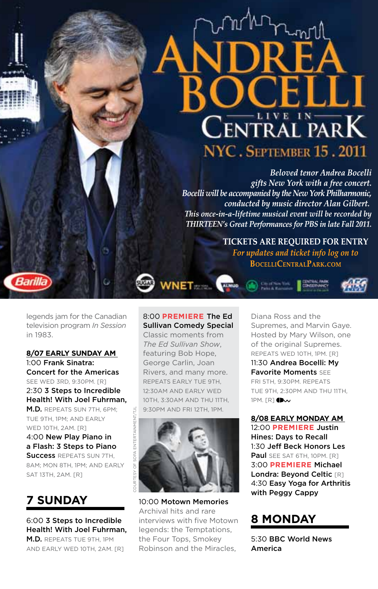# CENTRAL PARK NYC. SEPTEMBER 15.2011

*Beloved tenor Andrea Bocelli gifts New York with a free concert. Bocelli will be accompanied by theNew YorkPhilharmonic, conducted by music director Alan Gilbert. This once-in-a-lifetime musical event will be recorded by THIRTEEN's Great Performances for PBS in late Fall 2011.*

> **TICKETS ARE REQUIRED FOR ENTRY** *For updates and ticket info log on to* **BOCELLICENTRALPARK.COM**

legends jam for the Canadian television program *In Session* in 1983.

Barill

#### **8/07 EARLY SUNDAY AM**

1:00 Frank Sinatra: Concert for the Americas SEE WED 3RD, 9:30PM, [R] 2:30 3 Steps to Incredible Health! With Joel Fuhrman,

M.D. Repeats Sun 7th, 6pm; Tue 9th, 1pm; and early WED 10TH, 2AM, [R]

4:00 New Play Piano in a Flash: 3 Steps to Piano Success REPEATS SUN 7TH. 8am; Mon 8th, 1pm; and early SAT 13TH, 2AM. [R]

**7 SUNDAY** 

6:00 3 Steps to Incredible Health! With Joel Fuhrman, M.D. Repeats Tue 9th, 1pm and early Wed 10th, 2am. [R]

#### 8:00 **PREMIERE** The Ed Sullivan Comedy Special

**WNET** 

Classic moments from *The Ed Sullivan Show*, featuring Bob Hope, George Carlin, Joan Rivers, and many more. Repeats early Tue 9th, 12:30am and early Wed 10th, 3:30am and Thu 11th, 9:30pm and Fri 12th, 1pm.



10:00 Motown Memories Archival hits and rare interviews with five Motown legends: the Temptations, the Four Tops, Smokey Robinson and the Miracles,

Diana Ross and the Supremes, and Marvin Gaye. Hosted by Mary Wilson, one of the original Supremes. Repeats Wed 10th, 1pm. [R]

11:30 Andrea Bocelli: My Favorite Moments See Fri 5th, 9:30pm. Repeats Tue 9th, 2:30pm and Thu 11th,  $1PM. [R]$ <sup> $M$ </sup>

**8/08 EARLY MONDAY AM** 12:00 **PREMIERE** Justin Hines: Days to Recall 1:30 Jeff Beck Honors Les Paul SEE SAT 6TH, 10PM, [R] 3:00 **PREMIERE** Michael Londra: Beyond Celtic [R] 4:30 Easy Yoga for Arthritis with Peggy Cappy

# **8 MONDAY**

5:30 BBC World News America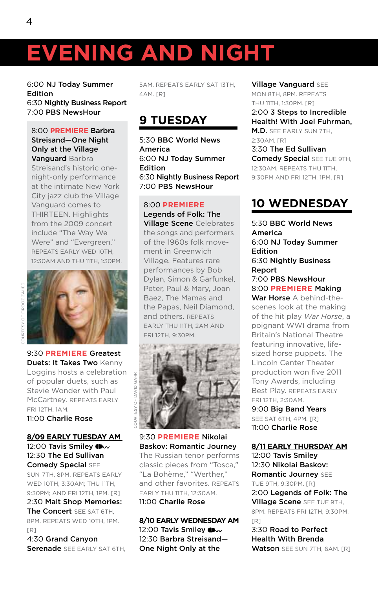6:00 NJ Today Summer Edition 6:30 Nightly Business Report 7:00 PBS NewsHour

#### 8:00 **PREMIERE** Barbra Streisand—One Night Only at the Village Vanguard Barbra

Streisand's historic onenight-only performance at the intimate New York City jazz club the Village Vanguard comes to THIRTEEN. Highlights from the 2009 concert include "The Way We Were" and "Evergreen." Repeats early Wed 10th, 12:30am and Thu 11th, 1:30pm.



9:30 **PREMIERE** Greatest Duets: It Takes Two Kenny Loggins hosts a celebration of popular duets, such as Stevie Wonder with Paul McCartney. REPEATS EARLY Fri 12th, 1am. 11:00 Charlie Rose

#### **8/09 EARLY TUESDAY AM** 12:00Tavis Smiley (Dw 12:30 The Ed Sullivan Comedy Special SEE

Sun 7th, 8pm. Repeats early Wed 10th, 3:30am; Thu 11th, 9:30pm; and Fri 12th, 1pm. [R] 2:30 Malt Shop Memories: The Concert SEE SAT 6TH. 8pm. Repeats Wed 10th, 1pm. [R]

4:30 Grand Canyon Serenade SEE EARLY SAT 6TH.

5am. Repeats early Sat 13th, 4am. [R]

# **9 TUESDAY**

5:30 BBC World News America 6:00 NJ Today Summer Edition 6:30 Nightly Business Report 7:00 PBS NewsHour

#### 8:00 **PREMIERE**

Legends of Folk: The Village Scene Celebrates the songs and performers of the 1960s folk movement in Greenwich Village. Features rare performances by Bob Dylan, Simon & Garfunkel, Peter, Paul & Mary, Joan Baez, The Mamas and the Papas, Neil Diamond, and others. Repeats early Thu 11th, 2am and Fri 12th, 9:30pm.



9:30 **PREMIERE** Nikolai Baskov: Romantic Journey The Russian tenor performs classic pieces from "Tosca," "La Bohème," "Werther," and other favorites. Repeats early Thu 11th, 12:30am. 11:00 Charlie Rose

#### **8/10 EARLY WEDNESDAY AM**

12:00Tavis Smiley  $\bigoplus$ 12:30 Barbra Streisand— One Night Only at the

Village Vanguard See Mon 8th, 8pm. Repeats Thu 11th, 1:30pm. [R]

2:00 3 Steps to Incredible Health! With Joel Fuhrman, M.D. SEE EARLY SUN 7TH. 2:30am. [R] 3:30 The Ed Sullivan **Comedy Special SEE TUE 9TH,** 12:30am. Repeats Thu 11th,

9:30pm and Fri 12th, 1pm. [R]

# **10 WEDNESDAY**

5:30 BBC World News America 6:00 NJ Today Summer Edition 6:30 Nightly Business Report 7:00 PBS NewsHour 8:00 **PREMIERE** Making

War Horse A behind-thescenes look at the making of the hit play *War Horse*, a poignant WWI drama from Britain's National Theatre featuring innovative, lifesized horse puppets. The Lincoln Center Theater production won five 2011 Tony Awards, including Best Play. Repeats early Fri 12th, 2:30am.

9:00 Big Band Years SEE SAT 6TH, 4PM, [R] 11:00 Charlie Rose

**8/11 EARLY THURSDAY AM**

12:00 Tavis Smiley 12:30 Nikolai Baskov: Romantic Journey SEE Tue 9th, 9:30pm. [R] 2:00 Legends of Folk: The Village Scene SEE TUE 9TH, 8pm. Repeats Fri 12th, 9:30pm. [R] 3:30 Road to Perfect

Health With Brenda Watson SEE SUN 7TH, 6AM. [R]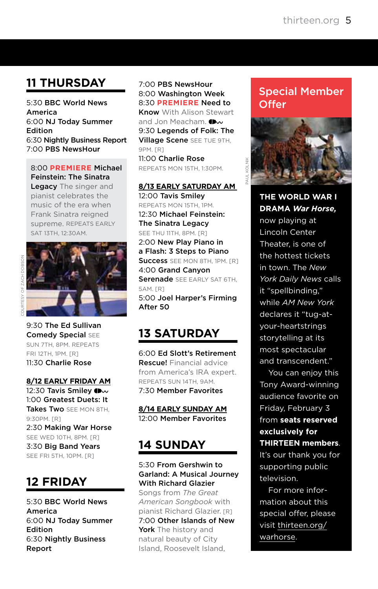# **11 THURSDAY**

5:30 BBC World News America 6:00 NJ Today Summer Edition 6:30 Nightly Business Report 7:00 PBS NewsHour

#### 8:00 **PREMIERE** Michael Feinstein: The Sinatra

Legacy The singer and pianist celebrates the music of the era when Frank Sinatra reigned supreme. REPEATS EARLY Sat 13th, 12:30am.



Courtesy of Zach Dobson

9:30 The Ed Sullivan Comedy Special See Sun 7th, 8pm. Repeats Fri 12th, 1pm. [R] 11:30 Charlie Rose

#### **8/12 EARLY FRIDAY AM**

12:30 Tavis Smile[y](http://www.pbs.org/wnet/tavissmiley/ ) (Dw 1:00 Greatest Duets: It Takes Two SEE MON 8TH. 9:30pm. [R] 2:30 Making War Horse SEE WED 10TH, 8PM, [R] 3:30 Big Band Years SEE FRI 5TH, 10PM, [R]

# **12 FRIDAY**

5:30 BBC World News America 6:00 NJ Today Summer Edition 6:30 Nightly Business Report

#### 7:00 PBS NewsHour 8:00 Washington Week 8:30 **PREMIERE** Need to Know With Alison Stewart

andJon Meacham. Ow 9:30 Legends of Folk: The Village Scene See Tue 9th, 9PM. [R] 11:00 Charlie Rose

Repeats Mon 15th, 1:30pm.

#### **8/13 EARLY SATURDAY AM**

12:00 Tavis Smiley Repeats Mon 15th, 1pm. 12:30 Michael Feinstein: The Sinatra Legacy SEE THU 11TH, 8PM. [R] 2:00 New Play Piano in a Flash: 3 Steps to Piano Success SEE MON 8TH, 1PM, FR1 4:00 Grand Canyon Serenade SEE EARLY SAT 6TH, 5am. [R] 5:00 Joel Harper's Firming After 50

# **13 SATURDAY**

6:00 Ed Slott's Retirement Rescue! Financial advice from America's IRA expert. Repeats Sun 14th, 9am. 7:30 Member Favorites

**8/14 EARLY SUNDAY AM** 12:00 Member Favorites

# **14 SUNDAY**

#### 5:30 From Gershwin to Garland: A Musical Journey With Richard Glazier

Songs from *The Great American Songbook* with pianist Richard Glazier. [R] 7:00 Other Islands of New York The history and natural beauty of City Island, Roosevelt Island,

## Special Member **Offer**



**The World War I drama** *War Horse,* now playing at Lincoln Center Theater, is one of the hottest tickets in town. The *New York Daily News* calls it "spellbinding," while *AM New York* declares it "tug-atyour-heartstrings storytelling at its most spectacular and transcendent."

You can enjoy this Tony Award-winning audience favorite on Friday, February 3 from **seats reserved exclusively for THIRTEEN members**.

It's our thank you for supporting public television.

For more information about this special offer, please visit [thirteen.org/](http://www.thirteen.org/warhorse) [warhorse](http://www.thirteen.org/warhorse).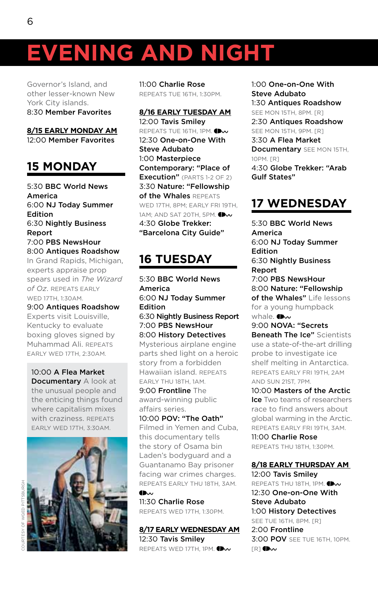Governor's Island, and other lesser-known New York City islands. 8:30 Member Favorites

**8/15 EARLY MONDAY AM** 12:00 Member Favorites

# **15 MONDAY**

5:30 BBC World News America 6:00 NJ Today Summer Edition 6:30 Nightly Business Report 7:00 PBS NewsHour 8:00 Antiques Roadshow

In Grand Rapids, Michigan, experts appraise prop spears used in *The Wizard of Oz*. Repeats early Wed 17th, 1:30am.

9:00 Antiques Roadshow Experts visit Louisville, Kentucky to evaluate boxing gloves signed by Muhammad Ali. Repeats early Wed 17th, 2:30am.

10:00 A Flea Market Documentary A look at the unusual people and the enticing things found where capitalism mixes with craziness. REPEATS early Wed 17th, 3:30am.



11:00 Charlie Rose Repeats Tue 16th, 1:30pm.

**8/16 EARLY TUESDAY AM** 12:00 Tavis Smiley REPEATS TUE 16TH, 1PM. 12:30 One-on-One With Steve Adubato 1:00 Masterpiece Contemporary: "Place of Execution" (PARTS 1-2 OF 2) 3:30 Nature: "Fellowship of the Whales REPEATS WED 17TH, 8PM; EARLY FRI 19TH, 1AM: AND SAT 20TH, 5PM[.](http://www.pbs.org/wnet/nature/ ) **DW** 4:30 Globe Trekker: "Barcelona City Guide"

# **16 TUESDAY**

5:30 BBC World News America 6:00 NJ Today Summer Edition 6:30 Nightly Business Report 7:00 PBS NewsHour 8:00 History Detectives Mysterious airplane engine parts shed light on a heroic story from a forbidden Hawaiian island. Repeats early Thu 18th, 1am. 9:00 Frontline The award-winning public

affairs series. 10:00 POV: "The Oath"

Filmed in Yemen and Cuba, this documentary tells the story of Osama bin Laden's bodyguard and a Guantanamo Bay prisoner facing war crimes charges. Repeats early Thu 18th, 3am.  $\n *② ⑨*$ 

11:30 Charlie Rose Repeats Wed 17th, 1:30pm.

**8/17 EARLY WEDNESDAY AM** 12:30 Tavis Smiley REPEATS WED 17TH, 1PM[.](http://www.pbs.org/wnet/tavissmiley/ )  $\bigoplus_{\mathbf{v}}$ 

1:00 One-on-One With Steve Adubato 1:30 Antiques Roadshow SEE MON 15TH, 8PM. [R] 2:30 Antiques Roadshow SEE MON 15TH, 9PM, [R] 3:30 A Flea Market Documentary SEE MON 15TH. 10pm. [R] 4:30 Globe Trekker: "Arab Gulf States"

# **17 WEDNESDAY**

5:30 BBC World News America 6:00 NJ Today Summer Edition 6:30 Nightly Business Report 7:00 PBS NewsHour 8:00 Nature: "Fellowship of the Whales" Life lessons for a young humpback whale[.](http://www.pbs.org/wnet/nature/ )  $\bigoplus$ 9:00 NOVA: "Secrets Beneath The Ice" Scientists use a state-of-the-art drilling probe to investigate ice shelf melting in Antarctica. Repeats early Fri 19th, 2am

and Sun 21st, 7pm. 10:00 Masters of the Arctic **Ice** Two teams of researchers race to find answers about global warming in the Arctic. Repeats early Fri 19th, 3am. 11:00 Charlie Rose

Repeats Thu 18th, 1:30pm.

#### **8/18 EARLY THURSDAY AM**

12:00 Tavis Smiley REPEATSTHU 18TH, 1PM.  $\bigoplus_{w}$ 12:30 One-on-One With Steve Adubato 1:00 History Detectives See Tue 16th, 8pm. [R] 2:00 Frontline **3:00 POV** SEE TUE 16TH, 10PM.  $[R]$  (bw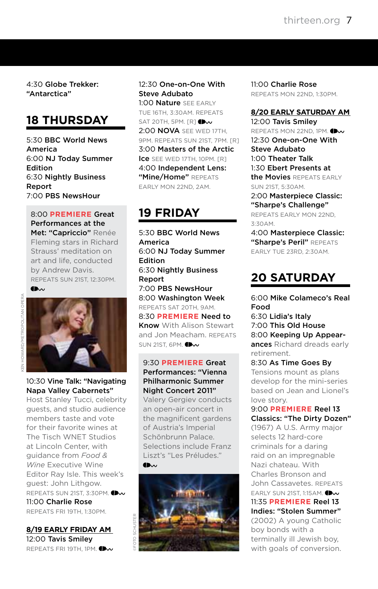4:30 Globe Trekker: "Antarctica"

# **18 THURSDAY**

5:30 BBC World News America 6:00 NJ Today Summer Edition 6:30 Nightly Business Report 7:00 PBS NewsHour

8:00 **PREMIERE** Great Performances at the Met: "Capriccio" Renée Fleming stars in Richard Strauss' meditation on art and life, conducted by Andrew Davis. Repeats Sun 21st, 12:30pm.  $\n *① ⑨*$ 



10:30 Vine Talk: "Navigating Napa Valley Cabernets" Host Stanley Tucci, celebrity

guests, and studio audience members taste and vote for their favorite wines at The Tisch WNET Studios at Lincoln Center, with guidance from *Food & Wine* Executive Wine Editor Ray Isle. This week's guest: John Lithgow. REPEATSSUN 21ST, 3:30PM. 11:00 Charlie Rose Repeats Fri 19th, 1:30pm.

**8/19 EARLY FRIDAY AM** 12:00 Tavis Smiley REPEATS FRI 19TH, 1PM.

#### 12:30 One-on-One With Steve Adubato

1:00 Nature SEE EARLY Tue 16th, 3:30am. Repeats SAT 20TH, 5PM.  $[R]$   $\bigoplus$ 2:00 NOVA See Wed 17th, 9pm. Repeats Sun 21st, 7pm. [R] 3:00 Masters of the Arctic Ice SEE WED 17TH, 10PM, [R] 4:00 Independent Lens: "Mine/Home" REPEATS early Mon 22nd, 2am.

# **19 FRIDAY**

5:30 BBC World News America 6:00 NJ Today Summer Edition 6:30 Nightly Business Report 7:00 PBS NewsHour 8:00 Washington Week Repeats Sat 20th, 9am. 8:30 **PREMIERE** Need to Know With Alison Stewart and Jon Meacham. Repeats **SUN 21ST, 6PM. DW** 

#### 9:30 **PREMIERE** Great Performances: "Vienna Philharmonic Summer Night Concert 2011"

Valery Gergiev conducts an open-air concert in the magnificent gardens of Austria's Imperial Schönbrunn Palace. Selections include Franz Liszt's "Les Préludes."



11:00 Charlie Rose Repeats Mon 22nd, 1:30pm.

#### **8/20 EARLY SATURDAY AM** 12:00 Tavis Smiley

REPEATS MON 22ND, 1PM. 12:30 One-on-One With Steve Adubato 1:00 Theater Talk 1:30 Ebert Presents at the Movies REPEATS EARLY Sun 21st, 5:30am. 2:00 Masterpiece Classic:

"Sharpe's Challenge" Repeats early Mon 22nd, 3:30am. 4:00 Masterpiece Classic:

"Sharpe's Peril" REPEATS early Tue 23rd, 2:30am.

# **20 SATURDAY**

6:00 Mike Colameco's Real Food 6:30 Lidia's Italy 7:00 This Old House 8:00 Keeping Up Appearances Richard dreads early retirement.

8:30 As Time Goes By Tensions mount as plans develop for the mini-series based on Jean and Lionel's love story.

9:00 **PREMIERE** Reel 13 Classics: "The Dirty Dozen" (1967) A U.S. Army major selects 12 hard-core criminals for a daring raid on an impregnable Nazi chateau. With Charles Bronson and John Cassavetes. Repeats EARLY SUN 21ST, 1:15AM. 11:35 **PREMIERE** Reel 13 Indies: "Stolen Summer" (2002) A young Catholic boy bonds with a terminally ill Jewish boy, with goals of conversion.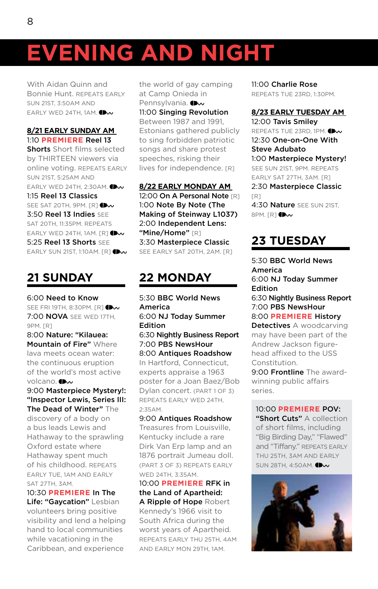With Aidan Quinn and Bonnie Hunt. Repeats early Sun 21st, 3:50am and EARLY WED 24TH, 1AM[.](http://www.thirteen.org/sites/reel13)  $\bigoplus_{w}$ 

#### **8/21 EARLY SUNDAY AM**

1:10 **PREMIERE** Reel 13 Shorts Short films selected by THIRTEEN viewers via online voting. Repeats early Sun 21st, 5:25am and EARLY WED 24TH, 2:30AM. 1:15 Reel 13 Classics SEE SAT 20TH, 9PM. [R[\]](http://www.thirteen.org/sites/reel13) **IDv** 3:50 Reel 13 Indies See SAT 20TH, 11:35PM. REPEATS EARLYWED 24TH, 1AM.  $[R]$ 5:25 Reel 13 Shorts SEE EARLY SUN 21ST, 1:10AM. [R[\]](http://www.thirteen.org/sites/reel13) **(Dw** 

# **21 SUNDAY**

6:00 Need to Know SEE FRI 19TH, 8:30PM. [R[\]](http://www.pbs.org/wnet/need-to-know/ )  $\bigoplus$ 7:00 NOVA See Wed 17th, 9PM. [R]

8:00 Nature: "Kilauea: Mountain of Fire" Where lava meets ocean water: the continuous eruption of the world's most active volcano[.](http://www.pbs.org/wnet/nature/ ) **Ilho** 

9:00 Masterpiece Mystery!: "Inspector Lewis, Series III: The Dead of Winter" The

discovery of a body on a bus leads Lewis and Hathaway to the sprawling Oxford estate where Hathaway spent much of his childhood. Repeats early Tue, 1am and early Sat 27th, 3am.

10:30 **PREMIERE** In The Life: "Gaycation" Lesbian volunteers bring positive visibility and lend a helping hand to local communities while vacationing in the Caribbean, and experience

the world of gay camping at Camp Onieda in Pennsylvania.(Dw 11:00 Singing Revolution Between 1987 and 1991, Estonians gathered publicly to sing forbidden patriotic songs and share protest speeches, risking their lives for independence. [R]

#### **8/22 EARLY MONDAY AM**

12:00 On A Personal Note [R] 1:00 Note By Note (The Making of Steinway L1037) 2:00 Independent Lens: "Mine/Home" [R] 3:30 Masterpiece Classic SEE EARLY SAT 20TH, 2AM. [R]

# **22 MONDAY**

5:30 BBC World News America 6:00 NJ Today Summer Edition 6:30 Nightly Business Report 7:00 PBS NewsHour 8:00 Antiques Roadshow In Hartford, Connecticut, experts appraise a 1963 poster for a Joan Baez/Bob Dylan concert. (PART 1 OF 3) Repeats early Wed 24th, 2:35am.

9:00 Antiques Roadshow Treasures from Louisville, Kentucky include a rare Dirk Van Erp lamp and an 1876 portrait Jumeau doll. (Part 3 of 3) Repeats early Wed 24th, 3:35am.

10:00 **PREMIERE** RFK in the Land of Apartheid: A Ripple of Hope Robert Kennedy's 1966 visit to South Africa during the worst years of Apartheid. Repeats early Thu 25th, 4am and early Mon 29th, 1am.

11:00 Charlie Rose Repeats Tue 23rd, 1:30pm.

### **8/23 EARLY TUESDAY AM**

12:00 Tavis Smiley REPEATS TUE 23RD, 1PM. 12:30 One-on-One With Steve Adubato 1:00 Masterpiece Mystery! See Sun 21st, 9pm. Repeats early Sat 27th, 3am. [R] 2:30 Masterpiece Classic [R] 4:30 Nature SEE SUN 21ST.  $8PM$ .  $TR1$   $\rightarrow \infty$ 

## **23 TUESDAY**

5:30 BBC World News America 6:00 NJ Today Summer Edition 6:30 Nightly Business Report 7:00 PBS NewsHour 8:00 **PREMIERE** History Detectives A woodcarving

may have been part of the Andrew Jackson figurehead affixed to the USS Constitution.

9:00 Frontline The awardwinning public affairs series.

10:00 **PREMIERE** POV: "Short Cuts" A collection of short films, including "Big Birding Day," "Flawed" and "Tiffany." REPEATS EARLY Thu 25th, 3am and early SUN 28TH, 4:50AM.

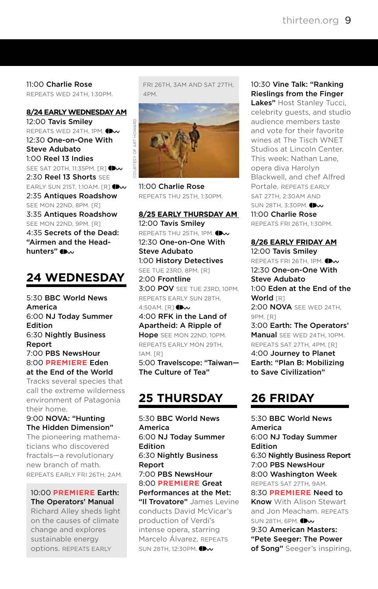11:00 Charlie Rose Repeats Wed 24th, 1:30pm.

**8/24 EARLY WEDNESDAY AM** 12:00 Tavis Smiley REPEATS WED 24TH, 1PM. 12:30 One-on-One With Steve Adubato 1:00 Reel 13 Indies SEE SAT 20TH, 11:35PM. [R[\]](http://www.thirteen.org/sites/reel13)  $\bigoplus$ 2:30 Reel 13 Shorts SEE EARLY SUN 21ST, 1:10AM, FR1 CH 2:35 Antiques Roadshow SEE MON 22ND, 8PM, [R] 3:35 Antiques Roadshow SEE MON 22ND, 9PM. [R] 4:35 Secrets of the Dead: "Airmen and the Head-hunters["](http://www.pbs.org/wnet/secrets/ ) (Dw

# **24 WEDNESDAY**

5:30 BBC World News America 6:00 NJ Today Summer Edition 6:30 Nightly Business Report 7:00 PBS NewsHour 8:00 **PREMIERE** Eden at the End of the World

Tracks several species that call the extreme wilderness environment of Patagonia their home.

9:00 NOVA: "Hunting The Hidden Dimension"

The pioneering mathematicians who discovered fractals—a revolutionary new branch of math. Repeats early Fri 26th, 2am.

#### 10:00 **PREMIERE** Earth: The Operators' Manual

Richard Alley sheds light on the causes of climate change and explores sustainable energy options. Repeats early

Fri 26th, 3am and Sat 27th, 4pm.



11:00 Charlie Rose Repeats Thu 25th, 1:30pm.

#### **8/25 EARLY THURSDAY AM**

12:00 Tavis Smiley REPEATS THU 25TH, 1PM. 12:30 One-on-One With Steve Adubato 1:00 History Detectives See Tue 23rd, 8pm. [R] 2:00 Frontline 3:00 POV SEE TUE 23RD, 10PM. Repeats early Sun 28th, 4:50AM. [R[\]](http://www.pbs.org/pov/) **Dw** 4:00 RFK in the Land of Apartheid: A Ripple of Hope SEE MON 22ND, 10PM. Repeats early Mon 29th, 1am. [R] 5:00 Travelscope: "Taiwan— The Culture of Tea"

## **25 THURSDAY**

5:30 BBC World News America 6:00 NJ Today Summer Edition 6:30 Nightly Business Report 7:00 PBS NewsHour 8:00 **PREMIERE** Great Performances at the Met: "Il Trovatore" James Levine conducts David McVicar's production of Verdi's intense opera, starring Marcelo Álvarez. Repeats

SUN28TH, 12:30PM.

#### 10:30 Vine Talk: "Ranking Rieslings from the Finger

Lakes" Host Stanley Tucci, celebrity guests, and studio audience members taste and vote for their favorite wines at The Tisch WNET Studios at Lincoln Center. This week: Nathan Lane, opera diva Harolyn Blackwell, and chef Alfred Portale. REPEATS EARLY Sat 27th, 2:30am and SUN28TH, 3:30PM. **IDv** 11:00 Charlie Rose

Repeats Fri 26th, 1:30pm.

#### **8/26 EARLY FRIDAY AM**

12:00 Tavis Smiley Repeats Fri 26th, 1pm.

12:30 One-on-One With Steve Adubato 1:00 Eden at the End of the World [R] 2:00 NOVA See Wed 24th, 9PM. [R] 3:00 Earth: The Operators' Manual SEE WED 24TH, 10PM. Repeats Sat 27th, 4pm. [R] 4:00 Journey to Planet Earth: "Plan B: Mobilizing to Save Civilization"

# **26 FRIDAY**

5:30 BBC World News America 6:00 NJ Today Summer Edition 6:30 Nightly Business Report 7:00 PBS NewsHour 8:00 Washington Week Repeats Sat 27th, 9am.

8:30 **PREMIERE** Need to Know With Alison Stewart and Jon Meacham. Repeats **SUN 28TH, 6PM.** 

9:30 American Masters: "Pete Seeger: The Power of Song" Seeger's inspiring,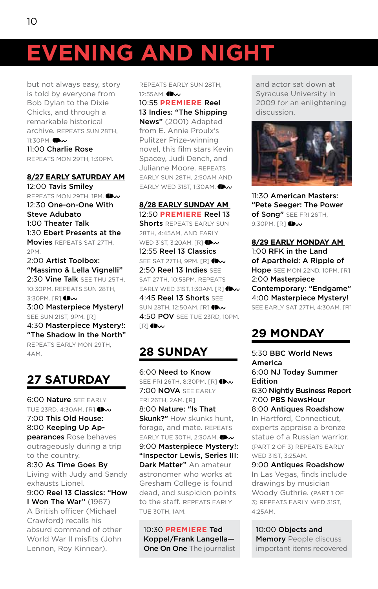but not always easy, story is told by everyone from Bob Dylan to the Dixie Chicks, and through a remarkable historical archive. Repeats Sun 28th, 11:30PM[.](http://www.pbs.org/wnet/americanmasters/ ) **IDw** 11:00 Charlie Rose Repeats Mon 29th, 1:30pm.

#### **8/27 EARLY SATURDAY AM**

12:00 Tavis Smiley REPEATS MON 29TH, 1PM. 12:30 One-on-One With Steve Adubato 1:00 Theater Talk 1:30 Ebert Presents at the Movies REPEATS SAT 27TH. 2pm.

2:00 Artist Toolbox: "Massimo & Lella Vignelli" 2:30 Vine Talk SEE THU 25TH, 10:30pm. Repeats Sun 28th, 3:30PM.[R] **Dw** 3:00 Masterpiece Mystery! SEE SUN 21ST, 9PM. [R] 4:30 Masterpiece Mystery!: "The Shadow in the North" Repeats early Mon 29th, 4am.

# **27 SATURDAY**

**6:00 Nature SEE EARLY** TUE 23RD, 4:30AM. [R] 7:00 This Old House: 8:00 Keeping Up Appearances Rose behaves

outrageously during a trip to the country.

8:30 As Time Goes By Living with Judy and Sandy exhausts Lionel.

9:00 Reel 13 Classics: "How I Won The War" (1967) A British officer (Michael

Crawford) recalls his absurd command of other World War II misfits (John Lennon, Roy Kinnear).

Repeats early Sun 28th, 12:55AM.

#### 10:55 **PREMIERE** Reel

13 Indies: "The Shipping News" (2001) Adapted from E. Annie Proulx's Pulitzer Prize-winning novel, this film stars Kevin Spacey, Judi Dench, and Julianne Moore. Repeats early Sun 28th, 2:50am and EARLY WED 31ST, 1:30AM.

#### **8/28 EARLY SUNDAY AM**

12:50 **PREMIERE** Reel 13 Shorts REPEATS EARLY SUN 28th, 4:45am, and early WED 31ST, 3:20AM. [R[\]](http://www.thirteen.org/sites/reel13)  $\bigoplus$ 12:55 Reel 13 Classics SEESAT 27TH, 9PM, [R] **(Bv** 2:50 Reel 13 Indies SEE Sat 27th, 10:55pm. Repeats EARLY WED 31ST, 1:30AM,  $IR1$ 4:45 Reel 13 Shorts See SUN 28TH, 12:50AM. [R[\]](http://www.thirteen.org/sites/reel13)  $\bigoplus$ 4:50 POV See Tue 23rd, 10pm.  $IR$  $1$  (D $\sim$ 

# **28 SUNDAY**

6:00 Need to Know SEE FRI 26TH, 8:30PM,  $IR1$ 7:00 NOVA SEE EARLY Fri 26th, 2am. [R] 8:00 Nature: "Is That Skunk?" How skunks hunt. forage, and mate. Repeats EARLY TUE 30TH, 2:30AM. 9:00 Masterpiece Mystery!: "Inspector Lewis, Series III: Dark Matter" An amateur astronomer who works at Gresham College is found dead, and suspicion points to the staff. REPEATS EARLY Tue 30th, 1am.

10:30 **PREMIERE** Ted Koppel/Frank Langella— One On One The journalist

and actor sat down at Syracuse University in 2009 for an enlightening discussion.



11:30 American Masters: "Pete Seeger: The Power **of Song"** SEE FRI 26TH. 9:30PM. [R[\]](http://www.pbs.org/wnet/americanmasters/ ) **Dw** 

#### **8/29 EARLY MONDAY AM**

1:00 RFK in the Land of Apartheid: A Ripple of **Hope** SEE MON 22ND, 10PM. [R] 2:00 Masterpiece Contemporary: "Endgame" 4:00 Masterpiece Mystery! See early Sat 27th, 4:30am. [R]

# **29 MONDAY**

5:30 BBC World News America 6:00 NJ Today Summer Edition 6:30 Nightly Business Report 7:00 PBS NewsHour 8:00 Antiques Roadshow In Hartford, Connecticut, experts appraise a bronze statue of a Russian warrior. (Part 2 of 3) Repeats early Wed 31st, 3:25am. 9:00 Antiques Roadshow

In Las Vegas, finds include drawings by musician Woody Guthrie. (PART 1 OF 3) Repeats early Wed 31st,  $4.25\text{AM}$ 

10:00 Objects and **Memory** People discuss important items recovered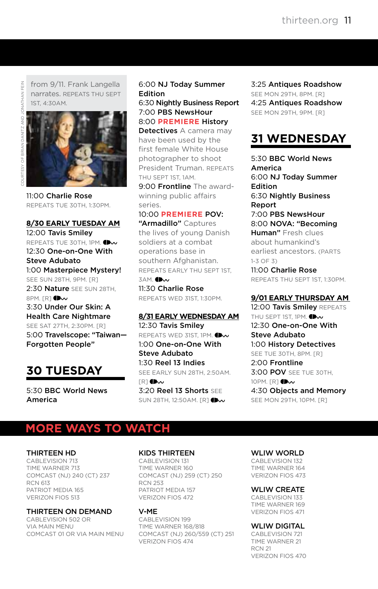from 9/11. Frank Langella narrates. Repeats Thu Sept 1st, 4:30am.



11:00 Charlie Rose Repeats Tue 30th, 1:30pm.

#### **8/30 EARLY TUESDAY AM** 12:00 Tavis Smiley REPEATSTUE 30TH, 1PM. **DW** 12:30 One-on-One With Steve Adubato 1:00 Masterpiece Mystery! SEE SUN 28TH, 9PM. [R] 2:30 Nature SEE SUN 28TH.  $8PM$ .[R]  $\bullet\mathbf{w}$ 3:30 Under Our Skin: A Health Care Nightmare See Sat 27th, 2:30pm. [R]

5:00 Travelscope: "Taiwan— Forgotten People"

# **30 TUESDAY**

5:30 BBC World News America

#### 6:00 NJ Today Summer Edition

6:30 Nightly Business Report 7:00 PBS NewsHour 8:00 **PREMIERE** History

Detectives A camera may have been used by the first female White House photographer to shoot President Truman. Repeats Thu Sept 1st, 1am.

9:00 Frontline The awardwinning public affairs series.

#### 10:00 **PREMIERE** POV:

"Armadillo" Captures the lives of young Danish soldiers at a combat operations base in southern Afghanistan. Repeats early Thu Sept 1st, **3AM. D**w

11:30 Charlie Rose Repeats Wed 31st, 1:30pm.

#### **8/31 EARLY WEDNESDAY AM**

12:30 Tavis Smiley REPEATS WED 31ST, 1PM. 1:00 One-on-One With Steve Adubato 1:30 Reel 13 Indies See early Sun 28th, 2:50am.  $IR$ <sup>1</sup> $M$ 3:20 Reel 13 Shorts See SUN 28TH, 12:50AM. [R[\]](http://www.thirteen.org/sites/reel13) **(Bv** 

3:25 Antiques Roadshow SEE MON 29TH, 8PM, [R] 4:25 Antiques Roadshow SEE MON 29TH, 9PM. [R]

# **31 WEDNESDAY**

5:30 BBC World News America 6:00 NJ Today Summer Edition 6:30 Nightly Business Report 7:00 PBS NewsHour 8:00 NOVA: "Becoming Human" Fresh clues about humankind's earliest ancestors. (PARTS 1-3 of 3) 11:00 Charlie Rose

Repeats Thu Sept 1st, 1:30pm.

#### **9/01 EARLY THURSDAY AM**

12:00 Tavis Smiley REPEATS THU SEPT 1ST, 1PM[.](http://www.pbs.org/wnet/tavissmiley/ ) **IDv** 12:30 One-on-One With Steve Adubato 1:00 History Detectives SEE TUE 30TH, 8PM, [R] 2:00 Frontline 3:00 POV See Tue 30th, 10PM. [R[\]](http://www.pbs.org/pov/) **Dw** 4:30 Objects and Memory SEE MON 29TH, 10PM. [R]

# **More ways to watch**

#### Thirteen HD

CABLEVISION 713 Time Warner 713 Comcast (NJ) 240 (CT) 237 RCN 613 Patriot Media 165 Verizon FiOS 513

Thirteen on Demand

Cablevision 502 or via Main Menu Comcast 01 or via Main Menu

#### Kids Thirteen

CABLEVISION 131 Time Warner 160 Comcast (NJ) 259 (CT) 250 RCN 253 Patriot Media 157 Verizon FiOS 472

#### V-Me

Cablevision 199 Time Warner 168/818 Comcast (NJ) 260/559 (CT) 251 VERIZON FIOS 474

WLIW WORLD

CABLEVISION 132 Time Warner 164 Verizon FiOS 473

#### WLIW CREATE

CABLEVISION 133 Time Warner 169 Verizon FiOS 471

#### **WLIW DIGITAL**

CABLEVISION 721 Time Warner 21 RCN 21 Verizon Fios 470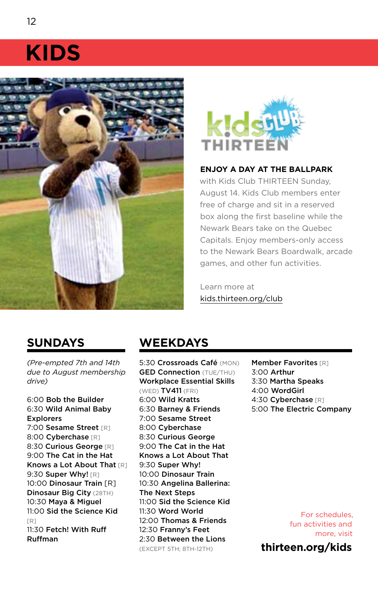# **KIDS**





#### **Enjoy a day at the ballpark**

with Kids Club THIRTEEN Sunday. August 14. Kids Club members enter free of charge and sit in a reserved box along the first baseline while the Newark Bears take on the Quebec Capitals. Enjoy members-only access to the Newark Bears Boardwalk, arcade games, and other fun activities.

Learn more at [kids.thirteen.org/club](http://kids.thirteen.org/club/ )

## **SUNDAYS**

*(Pre-empted 7th and 14th due to August membership drive)*

6:00 Bob the Builder 6:30 Wild Animal Baby Explorers 7:00 Sesame Street [R] 8:00 Cyberchase [R] 8:30 Curious George [R] 9:00 The Cat in the Hat Knows a Lot About That [R] 9:30 Super Why! [R] 10:00 Dinosaur Train [R] Dinosaur Big City (28TH) 10:30 Maya & Miguel 11:00 Sid the Science Kid  $[PI]$ 11:30 Fetch! With Ruff Ruffman

# **WEEKDAYS**

5:30 Crossroads Café (MON) **GED Connection** (TUE/THU) Workplace Essential Skills (Wed) TV411 (Fri) 6:00 Wild Kratts 6:30 Barney & Friends 7:00 Sesame Street 8:00 Cyberchase 8:30 Curious George 9:00 The Cat in the Hat Knows a Lot About That 9:30 Super Why! 10:00 Dinosaur Train 10:30 Angelina Ballerina: The Next Steps 11:00 Sid the Science Kid 11:30 Word World 12:00 Thomas & Friends 12:30 Franny's Feet 2:30 Between the Lions (except 5th; 8th-12th)

**Member Favorites [R]** 3:00 Arthur 3:30 Martha Speaks 4:00 WordGirl 4:30 Cyberchase [R] 5:00 The Electric Company

For schedules, fun activities and more, visit **[thirteen.org/kids](http://www.thirteen.org/kids)**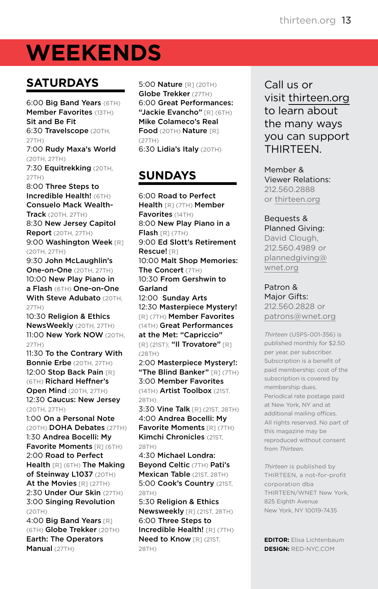# **weekends**

# **SATURDAYS**

6:00 Big Band Years (6TH) **Member Favorites (13TH)** Sit and Be Fit 6:30 Travelscope (20TH, 27th) 7:00 Rudy Maxa's World (20th, 27th) 7:30 Equitrekking (20TH, 27th) 8:00 Three Steps to Incredible Health! (6TH) Consuelo Mack Wealth-**Track** (20TH, 27TH) 8:30 New Jersey Capitol **Report** (20TH, 27TH) 9:00 Washington Week [R] (20th, 27th) 9:30 John McLaughlin's **One-on-One** (20TH, 27TH) 10:00 New Play Piano in a Flash (6TH) One-on-One With Steve Adubato (20TH, 27th) 10:30 Religion & Ethics NewsWeekly (20TH, 27TH) 11:00 New York NOW (20th, 27th) 11:30 To the Contrary With Bonnie Erbe (20TH, 27TH) 12:00 Stop Back Pain [R] (6TH) Richard Heffner's Open Mind (20TH, 27TH) 12:30 Caucus: New Jersey (20th, 27th) 1:00 On a Personal Note (20th) DOHA Debates (27th) 1:30 Andrea Bocelli: My Favorite Moments [R] (6TH) 2:00 Road to Perfect Health [R] (6TH) The Making of Steinway L1037 (20TH) At the Movies [R] (27TH) 2:30 Under Our Skin (27TH) 3:00 Singing Revolution  $(20TH)$ 

4:00 Big Band Years [R] (6TH) Globe Trekker (20TH) Earth: The Operators Manual (27TH)

5:00 **Nature** [R] (20TH) Globe Trekker (27TH) 6:00 Great Performances: "Jackie Evancho" [R] (6TH) Mike Colameco's Real Food (20TH) Nature [R] (27th) 6:30 Lidia's Italy (20TH)

# **SUNDAYS**

6:00 Road to Perfect Health [R] (7TH) Member Favorites (14TH) 8:00 New Play Piano in a Flash [R] (7TH) 9:00 Ed Slott's Retirement Rescue! [R] 10:00 Malt Shop Memories: The Concert (7TH) 10:30 From Gershwin to Garland 12:00 Sunday Arts 12:30 Masterpiece Mystery! [R] (7th) Member Favorites (14th) Great Performances at the Met: "Capriccio" [R] (21ST); "Il Trovatore" [R] (28th) 2:00 Masterpiece Mystery!: "The Blind Banker" [R] (7TH) 3:00 Member Favorites

(14TH) Artist Toolbox (21ST, 28th)

3:30 Vine Talk [R] (21ST, 28TH) 4:00 Andrea Bocelli: My Favorite Moments [R] (7TH) Kimchi Chronicles (21ST.  $28TH$ 

4:30 Michael Londra: Beyond Celtic (7th) Pati's Mexican Table (21ST, 28TH) 5:00 Cook's Country (21ST, 28th)

5:30 Religion & Ethics Newsweekly [R] (21ST, 28TH) 6:00 Three Steps to Incredible Health! [R] (7TH) Need to Know [R] (21ST, 28TH)

Call us or visit [thirteen.org](http://www.thirteen.org) to learn about the many ways you can support **THIRTFFN** 

Member & Viewer Relations: 212.560.2888 or [thirteen.org](http://www.thirteen.org)

Bequests & Planned Giving: David Clough, 212.560.4989 or [plannedgiving@](mailto:plannedgiving@wnet.org) [wnet.org](mailto:plannedgiving@wnet.org)

Patron & Major Gifts: 212.560.2828 or [patrons@wnet.org](mailto:patrons@wnet.org)

*Thirteen* (USPS-001-356) is published monthly for \$2.50 per year, per subscriber. Subscription is a benefit of paid membership; cost of the subscription is covered by membership dues. Periodical rate postage paid at New York, NY and at additional mailing offices. All rights reserved. No part of this magazine may be reproduced without consent from *Thirteen.*

*Thirteen* is published by THIRTEEN, a not-for-profit corporation dba Thirteen/WNET New York, 825 Eighth Avenue New York, NY 10019-7435

**Editor:** Elisa Lichtenbaum **Design:** RED-NYC.com